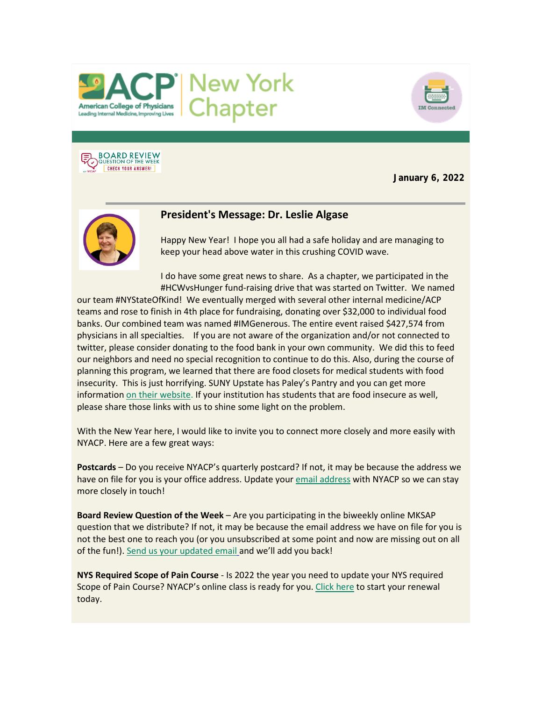



**BOARD REVIEW**<br>QUESTION OF THE WEEK **CHECK YOUR ANSWER!** 

**January 6, 2022**



# **President's Message: Dr. Leslie Algase**

Happy New Year! I hope you all had a safe holiday and are managing to keep your head above water in this crushing COVID wave.

I do have some great news to share. As a chapter, we participated in the #HCWvsHunger fund-raising drive that was started on Twitter. We named

our team #NYStateOfKind! We eventually merged with several other internal medicine/ACP teams and rose to finish in 4th place for fundraising, donating over \$32,000 to individual food banks. Our combined team was named #IMGenerous. The entire event raised \$427,574 from physicians in all specialties. If you are not aware of the organization and/or not connected to twitter, please consider donating to the food bank in your own community. We did this to feed our neighbors and need no special recognition to continue to do this. Also, during the course of planning this program, we learned that there are food closets for medical students with food insecurity. This is just horrifying. SUNY Upstate has Paley's Pantry and you can get more informatio[n on their website.](https://www.votervoice.net/BroadcastLinks/Z_coSolz0cCJ-H0pYJgrPw) If your institution has students that are food insecure as well, please share those links with us to shine some light on the problem.

With the New Year here, I would like to invite you to connect more closely and more easily with NYACP. Here are a few great ways:

**Postcards** – Do you receive NYACP's quarterly postcard? If not, it may be because the address we have on file for you is your office address. Update your [email address](mailto:info@nyacp.org) with NYACP so we can stay more closely in touch!

**Board Review Question of the Week** – Are you participating in the biweekly online MKSAP question that we distribute? If not, it may be because the email address we have on file for you is not the best one to reach you (or you unsubscribed at some point and now are missing out on all of the fun!). [Send us your updated email](mailto:info@nyacp.org) and we'll add you back!

**NYS Required Scope of Pain Course** - Is 2022 the year you need to update your NYS required Scope of Pain Course? NYACP's online class is ready for you[. Click here](https://www.votervoice.net/BroadcastLinks/xfZH_7ScmlufTYcXx_Cd4w) to start your renewal today.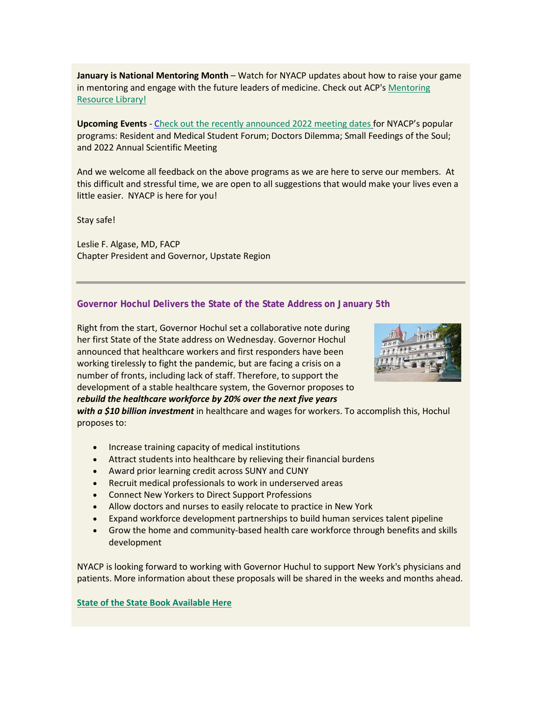**January is National Mentoring Month** – Watch for NYACP updates about how to raise your game in mentoring and engage with the future leaders of medicine. Check out ACP's Mentoring [Resource Library!](https://www.votervoice.net/BroadcastLinks/BImZJ934HisqLeI95T3Rag)

**Upcoming Events** - [Check out the recently announced 2022 meeting dates](https://www.votervoice.net/BroadcastLinks/f4lPP-lSDLTetn1sRC3P_w) for NYACP's popular programs: Resident and Medical Student Forum; Doctors Dilemma; Small Feedings of the Soul; and 2022 Annual Scientific Meeting

And we welcome all feedback on the above programs as we are here to serve our members. At this difficult and stressful time, we are open to all suggestions that would make your lives even a little easier. NYACP is here for you!

Stay safe!

Leslie F. Algase, MD, FACP Chapter President and Governor, Upstate Region

#### **Governor Hochul Delivers the State of the State Address on January 5th**

Right from the start, Governor Hochul set a collaborative note during her first State of the State address on Wednesday. Governor Hochul announced that healthcare workers and first responders have been working tirelessly to fight the pandemic, but are facing a crisis on a number of fronts, including lack of staff. Therefore, to support the development of a stable healthcare system, the Governor proposes to *rebuild the healthcare workforce by 20% over the next five years* 



*with a \$10 billion investment* in healthcare and wages for workers. To accomplish this, Hochul proposes to:

- Increase training capacity of medical institutions
- Attract students into healthcare by relieving their financial burdens
- Award prior learning credit across SUNY and CUNY
- Recruit medical professionals to work in underserved areas
- Connect New Yorkers to Direct Support Professions
- Allow doctors and nurses to easily relocate to practice in New York
- Expand workforce development partnerships to build human services talent pipeline
- Grow the home and community-based health care workforce through benefits and skills development

NYACP is looking forward to working with Governor Huchul to support New York's physicians and patients. More information about these proposals will be shared in the weeks and months ahead.

#### **[State of the State Book Available Here](https://www.votervoice.net/BroadcastLinks/mMp8UUm42BSdAgR22Piiaw)**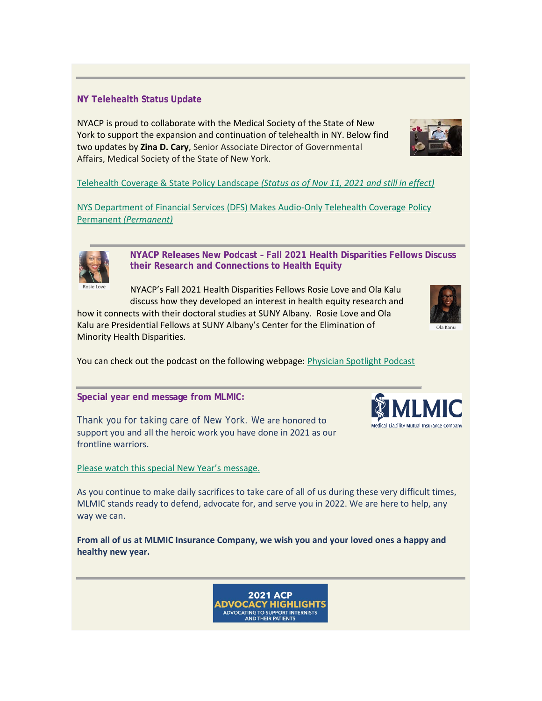# **NY Telehealth Status Update**

Rosie Love

NYACP is proud to collaborate with the Medical Society of the State of New York to support the expansion and continuation of telehealth in NY. Below find two updates by **Zina D. Cary**, Senior Associate Director of Governmental Affairs, Medical Society of the State of New York.

[Telehealth Coverage & State Policy Landscape](https://www.votervoice.net/BroadcastLinks/zUrwfwFXrExziMyFRKgR9w) *(Status as of Nov 11, 2021 and still in effect)*

[NYS Department of Financial Services \(DFS\) Makes Audio-Only Telehealth Coverage Policy](https://www.votervoice.net/BroadcastLinks/JFC7Q-PBfpNM8ggsnLX9oQ)  Permanent *[\(Permanent\)](https://www.votervoice.net/BroadcastLinks/JFC7Q-PBfpNM8ggsnLX9oQ)*

> **NYACP Releases New Podcast – Fall 2021 Health Disparities Fellows Discuss their Research and Connections to Health Equity**

NYACP's Fall 2021 Health Disparities Fellows Rosie Love and Ola Kalu discuss how they developed an interest in health equity research and

how it connects with their doctoral studies at SUNY Albany. Rosie Love and Ola Kalu are Presidential Fellows at SUNY Albany's Center for the Elimination of Minority Health Disparities.

You can check out the podcast on the following webpage: [Physician Spotlight Podcast](https://www.votervoice.net/BroadcastLinks/3EMRAnMSBhyaar7j0I2qTA)

**Special year end message from MLMIC:**

Thank you for taking care of New York. We are honored to support you and all the heroic work you have done in 2021 as our frontline warriors.

# [Please watch this special New Year's message.](https://www.votervoice.net/BroadcastLinks/jXc3KVkm9gODKlKqDEe8EQ)

As you continue to make daily sacrifices to take care of all of us during these very difficult times, MLMIC stands ready to defend, advocate for, and serve you in 2022. We are here to help, any way we can.

**From all of us at MLMIC Insurance Company, we wish you and your loved ones a happy and healthy new year.**

> **2021 ACP ADVOCACY HIGHLIGHTS** ADVOCATING TO SUPPORT INTERNISTS<br>AND THEIR PATIENTS





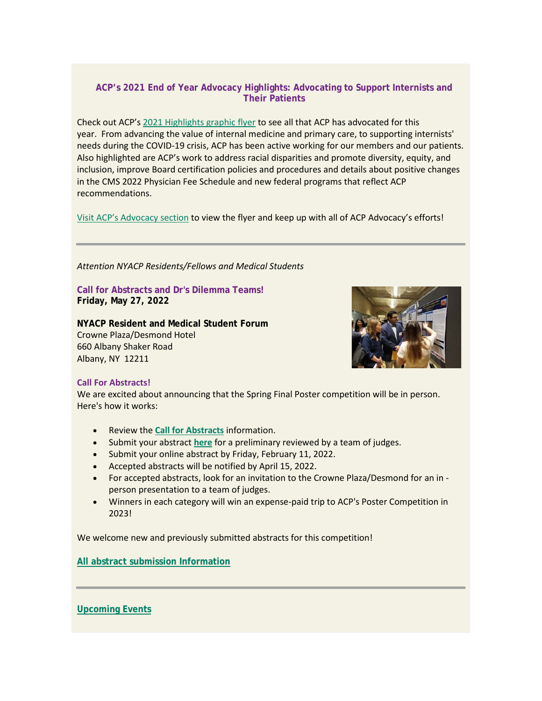# **ACP's 2021 End of Year Advocacy Highlights: Advocating to Support Internists and Their Patients**

Check out ACP's [2021 Highlights graphic flyer](https://www.votervoice.net/BroadcastLinks/Q8I_J0K0wnBBRb-BEBN4eg) to see all that ACP has advocated for this year. From advancing the value of internal medicine and primary care, to supporting internists' needs during the COVID-19 crisis, ACP has been active working for our members and our patients. Also highlighted are ACP's work to address racial disparities and promote diversity, equity, and inclusion, improve Board certification policies and procedures and details about positive changes in the CMS 2022 Physician Fee Schedule and new federal programs that reflect ACP recommendations.

[Visit ACP's Advocacy section](https://www.votervoice.net/BroadcastLinks/PMbwxzUgK9KOfpZbfSlAoQ) to view the flyer and keep up with all of ACP Advocacy's efforts!

*Attention NYACP Residents/Fellows and Medical Students*

**Call for Abstracts and Dr's Dilemma Teams! Friday, May 27, 2022**

**NYACP Resident and Medical Student Forum** Crowne Plaza/Desmond Hotel 660 Albany Shaker Road Albany, NY 12211



#### **Call For Abstracts!**

We are excited about announcing that the Spring Final Poster competition will be in person. Here's how it works:

- Review the **[Call for Abstracts](https://www.votervoice.net/BroadcastLinks/rErUOLBK2kYigwhnwcz4WQ)** information.
- Submit your abstract **[here](https://www.votervoice.net/BroadcastLinks/siS9y8Gq3xltsft8Yg1jWA)** for a preliminary reviewed by a team of judges.
- Submit your online abstract by Friday, February 11, 2022.
- Accepted abstracts will be notified by April 15, 2022.
- For accepted abstracts, look for an invitation to the Crowne Plaza/Desmond for an in person presentation to a team of judges.
- Winners in each category will win an expense-paid trip to ACP's Poster Competition in 2023!

We welcome new and previously submitted abstracts for this competition!

**[All abstract submission Information](https://www.votervoice.net/BroadcastLinks/rErUOLBK2kYigwhnwcz4WQ)**

## **[Upcoming Events](https://www.votervoice.net/BroadcastLinks/f4lPP-lSDLTetn1sRC3P_w)**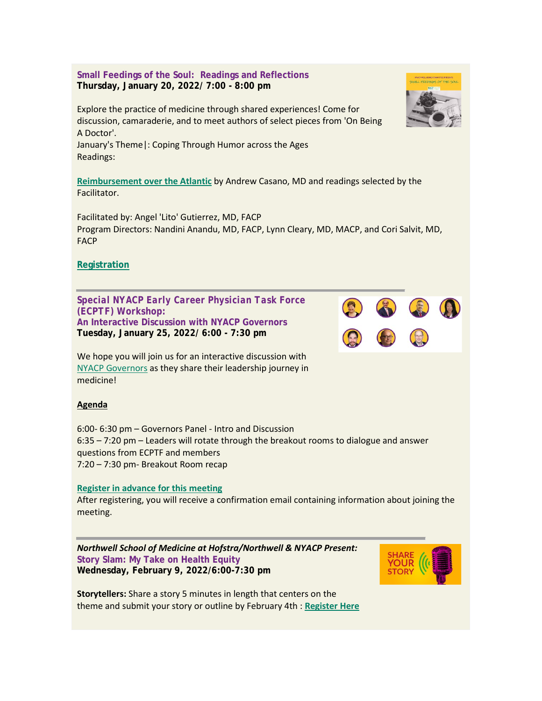**Small Feedings of the Soul: Readings and Reflections Thursday, January 20, 2022/ 7:00 - 8:00 pm**

Explore the practice of medicine through shared experiences! Come for discussion, camaraderie, and to meet authors of select pieces from 'On Being A Doctor'.

January's Theme|: Coping Through Humor across the Ages Readings:

**[Reimbursement over the Atlantic](https://www.votervoice.net/BroadcastLinks/81zW2XJ3eS_hf_veipSzEw)** by Andrew Casano, MD and readings selected by the Facilitator.

Facilitated by: Angel 'Lito' Gutierrez, MD, FACP Program Directors: Nandini Anandu, MD, FACP, Lynn Cleary, MD, MACP, and Cori Salvit, MD, FACP

# **[Registration](https://www.votervoice.net/BroadcastLinks/j7c1AN15GC3ktqT43z4Dcg)**

*Special NYACP Early Career Physician Task Force (ECPTF) Workshop:* **An Interactive Discussion with NYACP Governors Tuesday, January 25, 2022/ 6:00 - 7:30 pm**

We hope you will join us for an interactive discussion with [NYACP Governors](https://www.votervoice.net/BroadcastLinks/bmuW_6f8Z8fONonHCDHHBw) as they share their leadership journey in medicine!

## **Agenda**

6:00- 6:30 pm – Governors Panel - Intro and Discussion 6:35 – 7:20 pm – Leaders will rotate through the breakout rooms to dialogue and answer questions from ECPTF and members 7:20 – 7:30 pm- Breakout Room recap

#### **[Register in advance for this meeting](https://www.votervoice.net/BroadcastLinks/Y_vFvznyd34oPn2mXITx8g)**

After registering, you will receive a confirmation email containing information about joining the meeting.

*Northwell School of Medicine at Hofstra/Northwell & NYACP Present:* **Story Slam: My Take on Health Equity Wednesday, February 9, 2022/6:00-7:30 pm**





**Storytellers:** Share a story 5 minutes in length that centers on the theme and submit your story or outline by February 4th : **[Register Here](https://www.votervoice.net/BroadcastLinks/FGi2Kt7y8pJ8jYQ2HVEMzg)**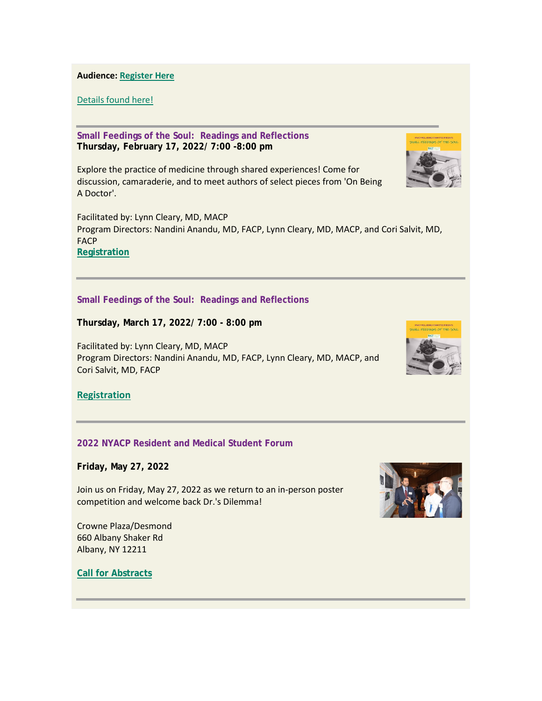**Audience: [Register Here](https://www.votervoice.net/BroadcastLinks/FGi2Kt7y8pJ8jYQ2HVEMzg)**

[Details found here!](https://www.votervoice.net/BroadcastLinks/tJv9PrZL-Thas4IXcH1RrA)

**Small Feedings of the Soul: Readings and Reflections Thursday, February 17, 2022/ 7:00 -8:00 pm**

Explore the practice of medicine through shared experiences! Come for discussion, camaraderie, and to meet authors of select pieces from 'On Being A Doctor'.

Facilitated by: Lynn Cleary, MD, MACP Program Directors: Nandini Anandu, MD, FACP, Lynn Cleary, MD, MACP, and Cori Salvit, MD, FACP **[Registration](https://www.votervoice.net/BroadcastLinks/-awWPVK4B7PM-wec89Knlg)**

#### **Small Feedings of the Soul: Readings and Reflections**

**Thursday, March 17, 2022/ 7:00 - 8:00 pm**

Facilitated by: Lynn Cleary, MD, MACP Program Directors: Nandini Anandu, MD, FACP, Lynn Cleary, MD, MACP, and Cori Salvit, MD, FACP



**[Registration](https://www.votervoice.net/BroadcastLinks/NNNIGVraV1gTKlbfSnwrXw)**

## **2022 NYACP Resident and Medical Student Forum**

**Friday, May 27, 2022**

Join us on Friday, May 27, 2022 as we return to an in-person poster competition and welcome back Dr.'s Dilemma!

Crowne Plaza/Desmond 660 Albany Shaker Rd Albany, NY 12211

**[Call for Abstracts](https://www.votervoice.net/BroadcastLinks/gInejP1TsTW03axY-8K90A)**